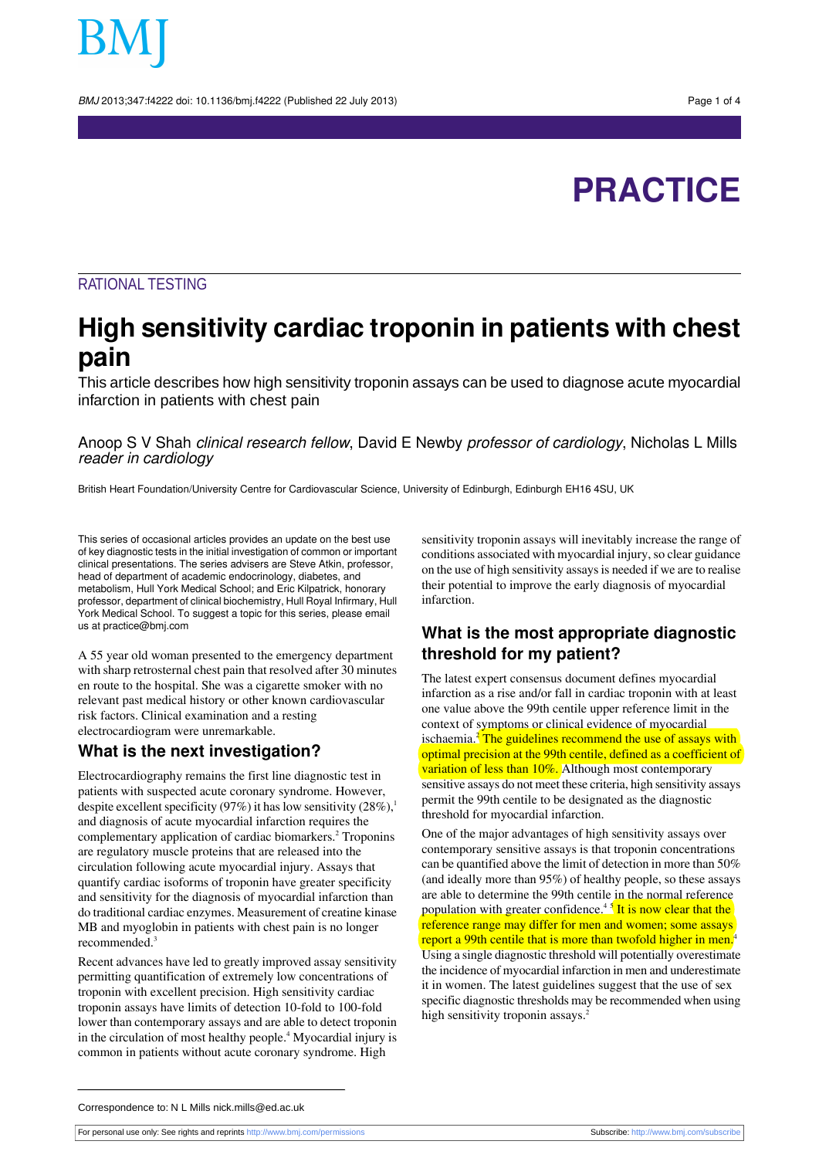BMJ 2013;347:f4222 doi: 10.1136/bmj.f4222 (Published 22 July 2013) Page 1 of 4

# **PRACTICE**

#### RATIONAL TESTING

## **High sensitivity cardiac troponin in patients with chest pain**

This article describes how high sensitivity troponin assays can be used to diagnose acute myocardial infarction in patients with chest pain

Anoop S V Shah clinical research fellow, David E Newby professor of cardiology, Nicholas L Mills reader in cardiology

British Heart Foundation/University Centre for Cardiovascular Science, University of Edinburgh, Edinburgh EH16 4SU, UK

This series of occasional articles provides an update on the best use of key diagnostic tests in the initial investigation of common or important clinical presentations. The series advisers are Steve Atkin, professor, head of department of academic endocrinology, diabetes, and metabolism, Hull York Medical School; and Eric Kilpatrick, honorary professor, department of clinical biochemistry, Hull Royal Infirmary, Hull York Medical School. To suggest a topic for this series, please email us at practice@bmj.com

A 55 year old woman presented to the emergency department with sharp retrosternal chest pain that resolved after 30 minutes en route to the hospital. She was a cigarette smoker with no relevant past medical history or other known cardiovascular risk factors. Clinical examination and a resting electrocardiogram were unremarkable.

#### **What is the next investigation?**

Electrocardiography remains the first line diagnostic test in patients with suspected acute coronary syndrome. However, despite excellent specificity (97%) it has low sensitivity  $(28\%)$ ,<sup>1</sup> and diagnosis of acute myocardial infarction requires the complementary application of cardiac biomarkers.<sup>2</sup> Troponins are regulatory muscle proteins that are released into the circulation following acute myocardial injury. Assays that quantify cardiac isoforms of troponin have greater specificity and sensitivity for the diagnosis of myocardial infarction than do traditional cardiac enzymes. Measurement of creatine kinase MB and myoglobin in patients with chest pain is no longer recommended.<sup>3</sup>

Recent advances have led to greatly improved assay sensitivity permitting quantification of extremely low concentrations of troponin with excellent precision. High sensitivity cardiac troponin assays have limits of detection 10-fold to 100-fold lower than contemporary assays and are able to detect troponin in the circulation of most healthy people.<sup>4</sup> Myocardial injury is common in patients without acute coronary syndrome. High

sensitivity troponin assays will inevitably increase the range of conditions associated with myocardial injury, so clear guidance on the use of high sensitivity assaysis needed if we are to realise their potential to improve the early diagnosis of myocardial infarction.

#### **What is the most appropriate diagnostic threshold for my patient?**

The latest expert consensus document defines myocardial infarction as a rise and/or fall in cardiac troponin with at least one value above the 99th centile upper reference limit in the context of symptoms or clinical evidence of myocardial ischaemia.<sup>2</sup> The guidelines recommend the use of assays with optimal precision at the 99th centile, defined as a coefficient of variation of less than 10%. Although most contemporary sensitive assays do not meet these criteria, high sensitivity assays permit the 99th centile to be designated as the diagnostic threshold for myocardial infarction.

One of the major advantages of high sensitivity assays over contemporary sensitive assays is that troponin concentrations can be quantified above the limit of detection in more than 50% (and ideally more than 95%) of healthy people, so these assays are able to determine the 99th centile in the normal reference population with greater confidence.<sup>45</sup> It is now clear that the reference range may differ for men and women; some assays report a 99th centile that is more than twofold higher in men.<sup>4</sup> Using a single diagnostic threshold will potentially overestimate the incidence of myocardial infarction in men and underestimate it in women. The latest guidelines suggest that the use of sex specific diagnostic thresholds may be recommended when using high sensitivity troponin assays.<sup>2</sup>

Correspondence to: N L Mills nick.mills@ed.ac.uk

For personal use only: See rights and reprints<http://www.bmj.com/permissions> Subscribe: <http://www.bmj.com/subscribe>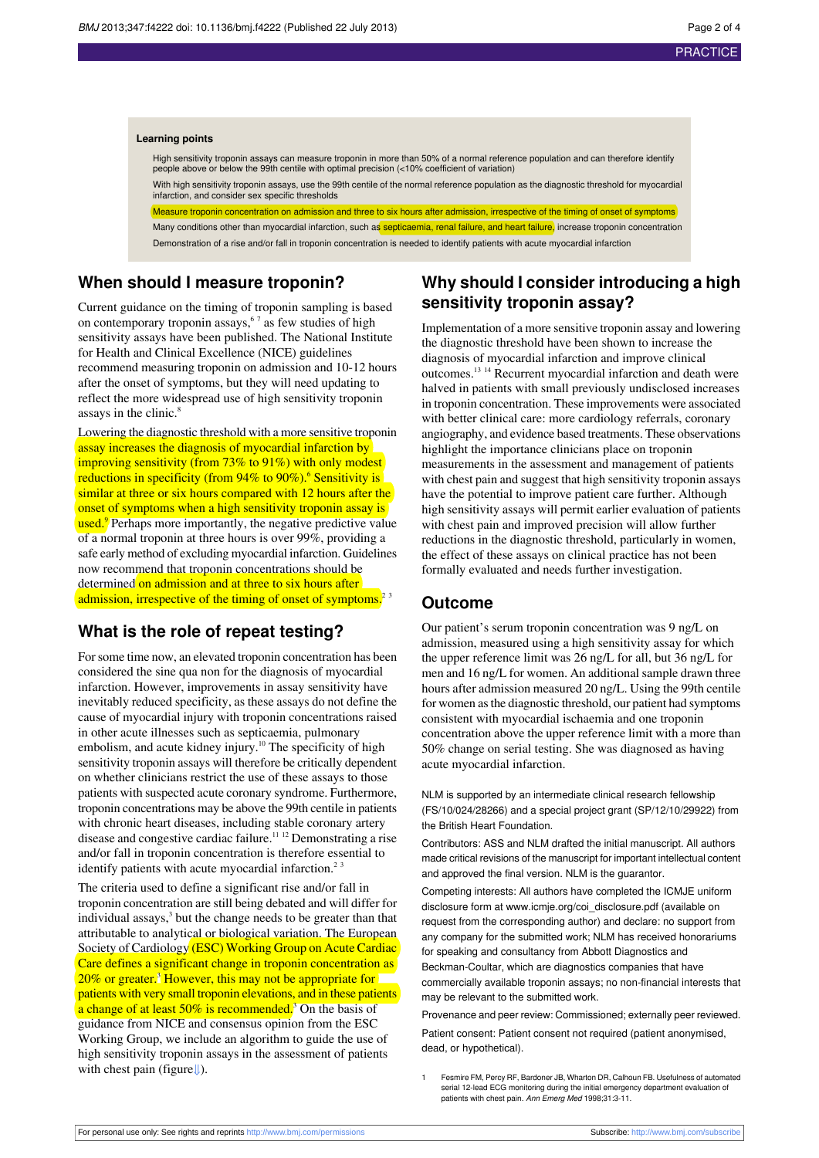#### **Learning points**

High sensitivity troponin assays can measure troponin in more than 50% of a normal reference population and can therefore identify people above or below the 99th centile with optimal precision (<10% coefficient of variation)

With high sensitivity troponin assays, use the 99th centile of the normal reference population as the diagnostic threshold for myocardial infarction, and consider sex specific thresholds

Measure troponin concentration on admission and three to six hours after admission, irrespective of the timing of onset of symptoms Many conditions other than myocardial infarction, such as septicaemia, renal failure, and heart failure, increase troponin concentration

Demonstration of a rise and/or fall in troponin concentration is needed to identify patients with acute myocardial infarction

### **When should I measure troponin?**

Current guidance on the timing of troponin sampling is based on contemporary troponin assays,  $5^7$  as few studies of high sensitivity assays have been published. The National Institute for Health and Clinical Excellence (NICE) guidelines recommend measuring troponin on admission and 10-12 hours after the onset of symptoms, but they will need updating to reflect the more widespread use of high sensitivity troponin assays in the clinic.<sup>8</sup>

Lowering the diagnostic threshold with a more sensitive troponin assay increases the diagnosis of myocardial infarction by improving sensitivity (from 73% to 91%) with only modest reductions in specificity (from  $94\%$  to  $90\%$ ).<sup>6</sup> Sensitivity is similar at three or six hours compared with 12 hours after the onset of symptoms when a high sensitivity troponin assay is used.<sup>9</sup> Perhaps more importantly, the negative predictive value of a normal troponin at three hours is over 99%, providing a safe early method of excluding myocardial infarction. Guidelines now recommend that troponin concentrations should be determined on admission and at three to six hours after admission, irrespective of the timing of onset of symptoms.<sup>23</sup>

#### **What is the role of repeat testing?**

For some time now, an elevated troponin concentration has been considered the sine qua non for the diagnosis of myocardial infarction. However, improvements in assay sensitivity have inevitably reduced specificity, as these assays do not define the cause of myocardial injury with troponin concentrations raised in other acute illnesses such as septicaemia, pulmonary embolism, and acute kidney injury.<sup>10</sup> The specificity of high sensitivity troponin assays will therefore be critically dependent on whether clinicians restrict the use of these assays to those patients with suspected acute coronary syndrome. Furthermore, troponin concentrations may be above the 99th centile in patients with chronic heart diseases, including stable coronary artery disease and congestive cardiac failure.<sup>11</sup> <sup>12</sup> Demonstrating a rise and/or fall in troponin concentration is therefore essential to identify patients with acute myocardial infarction.<sup>2 3</sup>

The criteria used to define a significant rise and/or fall in troponin concentration are still being debated and will differ for individual assays, $3$  but the change needs to be greater than that attributable to analytical or biological variation. The European Society of Cardiology (ESC) Working Group on Acute Cardiac Care defines a significant change in troponin concentration as 20% or greater.<sup>3</sup> However, this may not be appropriate for patients with very small troponin elevations, and in these patients a change of at least  $50\%$  is recommended.<sup>3</sup> On the basis of guidance from NICE and consensus opinion from the ESC Working Group, we include an algorithm to guide the use of high sensitivity troponin assays in the assessment of patients with chest pain (figure[⇓\)](#page-3-0).

## **Why should I consider introducing a high sensitivity troponin assay?**

Implementation of a more sensitive troponin assay and lowering the diagnostic threshold have been shown to increase the diagnosis of myocardial infarction and improve clinical outcomes.<sup>13</sup> <sup>14</sup> Recurrent myocardial infarction and death were halved in patients with small previously undisclosed increases in troponin concentration. These improvements were associated with better clinical care: more cardiology referrals, coronary angiography, and evidence based treatments. These observations highlight the importance clinicians place on troponin measurements in the assessment and management of patients with chest pain and suggest that high sensitivity troponin assays have the potential to improve patient care further. Although high sensitivity assays will permit earlier evaluation of patients with chest pain and improved precision will allow further reductions in the diagnostic threshold, particularly in women, the effect of these assays on clinical practice has not been formally evaluated and needs further investigation.

#### **Outcome**

Our patient's serum troponin concentration was 9 ng/L on admission, measured using a high sensitivity assay for which the upper reference limit was 26 ng/L for all, but 36 ng/L for men and 16 ng/L for women. An additional sample drawn three hours after admission measured 20 ng/L. Using the 99th centile for women asthe diagnostic threshold, our patient had symptoms consistent with myocardial ischaemia and one troponin concentration above the upper reference limit with a more than 50% change on serial testing. She was diagnosed as having acute myocardial infarction.

NLM is supported by an intermediate clinical research fellowship (FS/10/024/28266) and a special project grant (SP/12/10/29922) from the British Heart Foundation.

Contributors: ASS and NLM drafted the initial manuscript. All authors made critical revisions of the manuscript for important intellectual content and approved the final version. NLM is the guarantor.

Competing interests: All authors have completed the ICMJE uniform disclosure form at [www.icmje.org/coi\\_disclosure.pdf](http://www.icmje.org/coi_disclosure.pdf) (available on request from the corresponding author) and declare: no support from any company for the submitted work; NLM has received honorariums for speaking and consultancy from Abbott Diagnostics and Beckman-Coultar, which are diagnostics companies that have commercially available troponin assays; no non-financial interests that may be relevant to the submitted work.

Provenance and peer review: Commissioned; externally peer reviewed.

Patient consent: Patient consent not required (patient anonymised, dead, or hypothetical).

1 Fesmire FM, Percy RF, Bardoner JB, Wharton DR, Calhoun FB. Usefulness of automated serial 12-lead ECG monitoring during the initial emergency department evaluation of patients with chest pain. Ann Emerg Med 1998;31:3-11.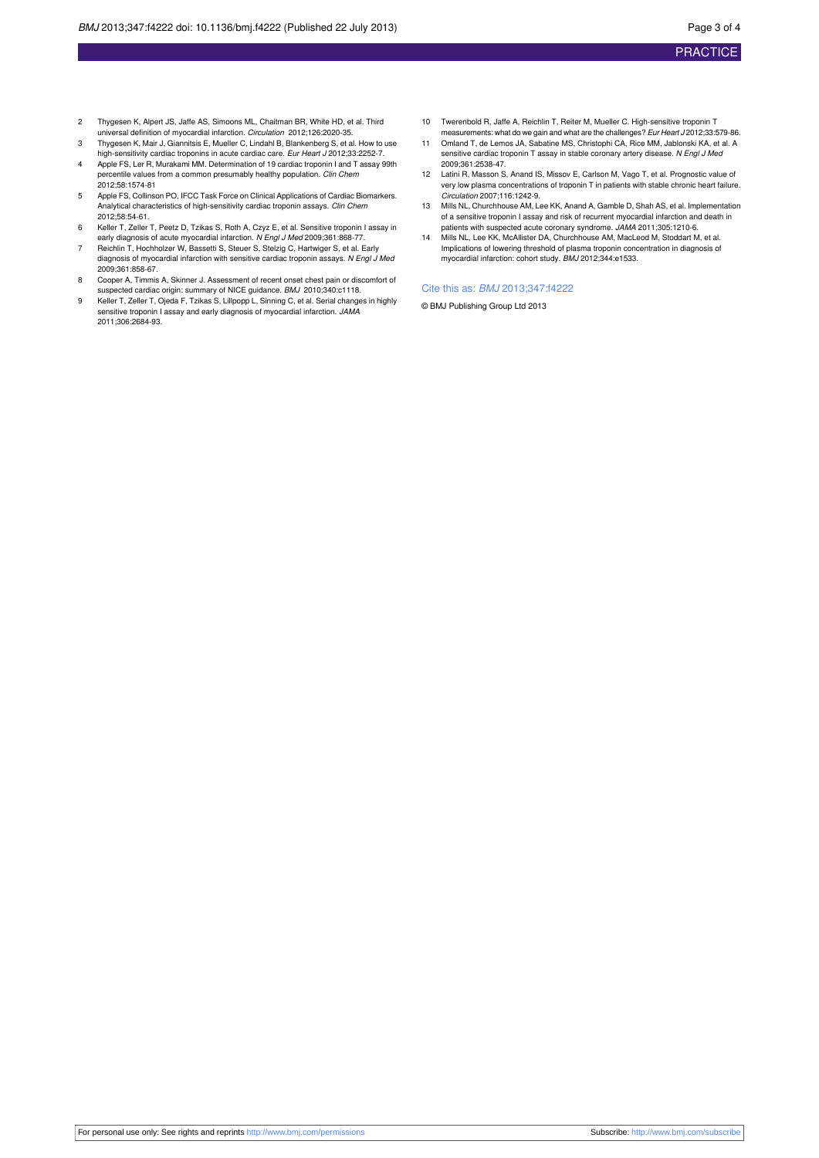- 2 Thygesen K, Alpert JS, Jaffe AS, Simoons ML, Chaitman BR, White HD, et al. Third universal definition of myocardial infarction. *Circulation* 2012;126:2020-35.
- 3 Thygesen K, Mair J, Giannitsis E, Mueller C, Lindahl B, Blankenberg S, et al. How to use high-sensitivity cardiac troponins in acute cardiac care. Eur Heart J 2012;33:2252-7.
- 4 Apple FS, Ler R, Murakami MM. Determination of 19 cardiac troponin I and T assay 99th percentile values from a common presumably healthy population. Clin Chem 2012;58:1574-81
- 5 Apple FS, Collinson PO, IFCC Task Force on Clinical Applications of Cardiac Biomarkers. Analytical characteristics of high-sensitivity cardiac troponin assays. Clin Chem 2012;58:54-61.
- 6 Keller T, Zeller T, Peetz D, Tzikas S, Roth A, Czyz E, et al. Sensitive troponin I assay in early diagnosis of acute myocardial infarction. N Engl J Med 2009:361:868-77.
- 7 Reichlin T, Hochholzer W, Bassetti S, Steuer S, Stelzig C, Hartwiger S, et al. Early diagnosis of myocardial infarction with sensitive cardiac troponin assays. N Engl J Med 2009;361:858-67.
- 8 Cooper A, Timmis A, Skinner J. Assessment of recent onset chest pain or discomfort of suspected cardiac origin: summary of NICE guidance. BMJ 2010;340:c1118.
- 9 Keller T, Zeller T, Ojeda F, Tzikas S, Lillpopp L, Sinning C, et al. Serial changes in highly sensitive troponin I assay and early diagnosis of myocardial infarction. JAMA 2011;306:2684-93.
- 10 Twerenbold R, Jaffe A, Reichlin T, Reiter M, Mueller C. High-sensitive troponin T measurements: what do we gain and what are the challenges? Eur Heart J 2012;33:579-86.
- 11 Omland T, de Lemos JA, Sabatine MS, Christophi CA, Rice MM, Jablonski KA, et al. A sensitive cardiac troponin T assay in stable coronary artery disease. N Engl J Med 2009;361:2538-47.
- 12 Latini R, Masson S, Anand IS, Missov E, Carlson M, Vago T, et al. Prognostic value of very low plasma concentrations of troponin T in patients with stable chronic heart failure. Circulation 2007;116:1242-9.
- 13 Mills NL, Churchhouse AM, Lee KK, Anand A, Gamble D, Shah AS, et al. Implementation of a sensitive troponin I assay and risk of recurrent myocardial infarction and death in patients with suspected acute coronary syndrome. JAMA 2011;305:1210-6.
- 14 Mills NL, Lee KK, McAllister DA, Churchhouse AM, MacLeod M, Stoddart M, et al. Implications of lowering threshold of plasma troponin concentration in diagnosis of myocardial infarction: cohort study. BMJ 2012;344:e1533.

#### Cite this as: BMJ 2013;347:f4222

© BMJ Publishing Group Ltd 2013